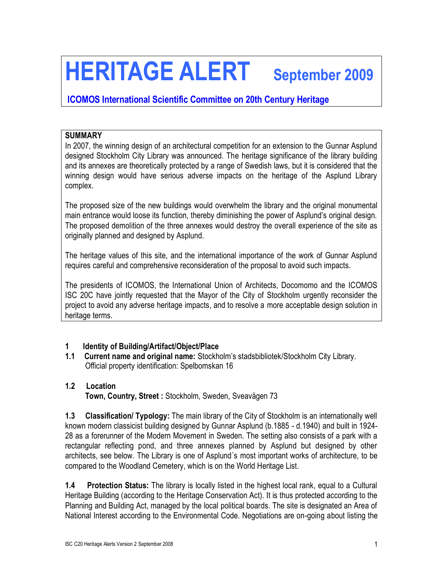# **HERITAGE ALERT September 2009**

# **ICOMOS International Scientific Committee on 20th Century Heritage**

### **SUMMARY**

In 2007, the winning design of an architectural competition for an extension to the Gunnar Asplund designed Stockholm City Library was announced. The heritage significance of the library building and its annexes are theoretically protected by a range of Swedish laws, but it is considered that the winning design would have serious adverse impacts on the heritage of the Asplund Library complex.

The proposed size of the new buildings would overwhelm the library and the original monumental main entrance would loose its function, thereby diminishing the power of Asplund's original design. The proposed demolition of the three annexes would destroy the overall experience of the site as originally planned and designed by Asplund.

The heritage values of this site, and the international importance of the work of Gunnar Asplund requires careful and comprehensive reconsideration of the proposal to avoid such impacts.

The presidents of ICOMOS, the International Union of Architects, Docomomo and the ICOMOS ISC 20C have jointly requested that the Mayor of the City of Stockholm urgently reconsider the project to avoid any adverse heritage impacts, and to resolve a more acceptable design solution in heritage terms.

#### **1 Identity of Building/Artifact/Object/Place**

**1.1 Current name and original name:** Stockholm's stadsbibliotek/Stockholm City Library. Official property identification: Spelbomskan 16

#### **1.2 Location**

**Town, Country, Street :** Stockholm, Sweden, Sveavägen 73

**1.3 Classification/ Typology:** The main library of the City of Stockholm is an internationally well known modern classicist building designed by Gunnar Asplund (b.1885 - d.1940) and built in 1924- 28 as a forerunner of the Modern Movement in Sweden. The setting also consists of a park with a rectangular reflecting pond, and three annexes planned by Asplund but designed by other architects, see below. The Library is one of Asplund´s most important works of architecture, to be compared to the Woodland Cemetery, which is on the World Heritage List.

**1.4 Protection Status:** The library is locally listed in the highest local rank, equal to a Cultural Heritage Building (according to the Heritage Conservation Act). It is thus protected according to the Planning and Building Act, managed by the local political boards. The site is designated an Area of National Interest according to the Environmental Code. Negotiations are on-going about listing the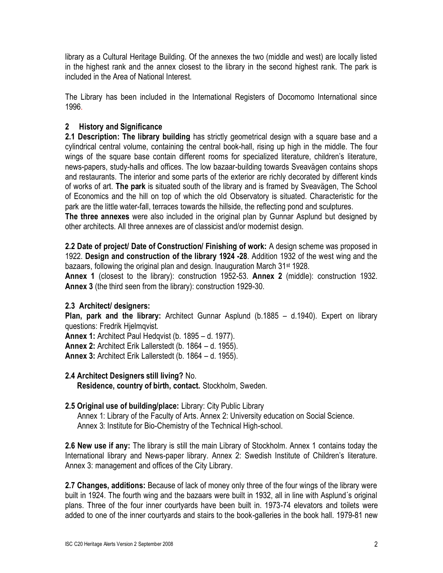library as a Cultural Heritage Building. Of the annexes the two (middle and west) are locally listed in the highest rank and the annex closest to the library in the second highest rank. The park is included in the Area of National Interest.

The Library has been included in the International Registers of Docomomo International since 1996.

## **2 History and Significance**

**2.1 Description: The library building** has strictly geometrical design with a square base and a cylindrical central volume, containing the central book-hall, rising up high in the middle. The four wings of the square base contain different rooms for specialized literature, children's literature, news-papers, study-halls and offices. The low bazaar-building towards Sveavägen contains shops and restaurants. The interior and some parts of the exterior are richly decorated by different kinds of works of art. **The park** is situated south of the library and is framed by Sveavägen, The School of Economics and the hill on top of which the old Observatory is situated. Characteristic for the park are the little water-fall, terraces towards the hillside, the reflecting pond and sculptures.

**The three annexes** were also included in the original plan by Gunnar Asplund but designed by other architects. All three annexes are of classicist and/or modernist design.

**2.2 Date of project/ Date of Construction/ Finishing of work:** A design scheme was proposed in 1922. **Design and construction of the library 1924 -28**. Addition 1932 of the west wing and the bazaars, following the original plan and design. Inauguration March 31<sup>st</sup> 1928.

**Annex 1** (closest to the library): construction 1952-53. **Annex 2** (middle): construction 1932. **Annex 3** (the third seen from the library): construction 1929-30.

#### **2.3 Architect/ designers:**

**Plan, park and the library:** Architect Gunnar Asplund (b.1885 – d.1940). Expert on library questions: Fredrik Hjelmqvist.

**Annex 1:** Architect Paul Hedqvist (b. 1895 – d. 1977). **Annex 2:** Architect Erik Lallerstedt (b. 1864 – d. 1955).

**Annex 3:** Architect Erik Lallerstedt (b. 1864 – d. 1955).

**2.4 Architect Designers still living?** No. **Residence, country of birth, contact.** Stockholm, Sweden.

# **2.5 Original use of building/place:** Library: City Public Library

 Annex 1: Library of the Faculty of Arts. Annex 2: University education on Social Science. Annex 3: Institute for Bio-Chemistry of the Technical High-school.

**2.6 New use if any:** The library is still the main Library of Stockholm. Annex 1 contains today the International library and News-paper library. Annex 2: Swedish Institute of Children's literature. Annex 3: management and offices of the City Library.

**2.7 Changes, additions:** Because of lack of money only three of the four wings of the library were built in 1924. The fourth wing and the bazaars were built in 1932, all in line with Asplund´s original plans. Three of the four inner courtyards have been built in. 1973-74 elevators and toilets were added to one of the inner courtyards and stairs to the book-galleries in the book hall. 1979-81 new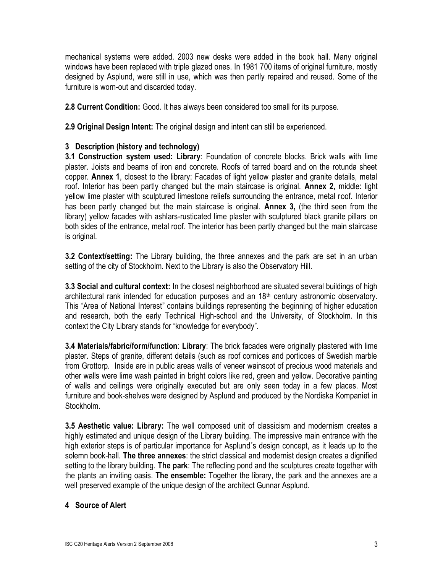mechanical systems were added. 2003 new desks were added in the book hall. Many original windows have been replaced with triple glazed ones. In 1981 700 items of original furniture, mostly designed by Asplund, were still in use, which was then partly repaired and reused. Some of the furniture is worn-out and discarded today.

**2.8 Current Condition:** Good. It has always been considered too small for its purpose.

**2.9 Original Design Intent:** The original design and intent can still be experienced.

#### **3 Description (history and technology)**

**3.1 Construction system used: Library**: Foundation of concrete blocks. Brick walls with lime plaster. Joists and beams of iron and concrete. Roofs of tarred board and on the rotunda sheet copper. **Annex 1**, closest to the library: Facades of light yellow plaster and granite details, metal roof. Interior has been partly changed but the main staircase is original. **Annex 2,** middle: light yellow lime plaster with sculptured limestone reliefs surrounding the entrance, metal roof. Interior has been partly changed but the main staircase is original. **Annex 3,** (the third seen from the library) yellow facades with ashlars-rusticated lime plaster with sculptured black granite pillars on both sides of the entrance, metal roof. The interior has been partly changed but the main staircase is original.

**3.2 Context/setting:** The Library building, the three annexes and the park are set in an urban setting of the city of Stockholm. Next to the Library is also the Observatory Hill.

**3.3 Social and cultural context:** In the closest neighborhood are situated several buildings of high architectural rank intended for education purposes and an 18<sup>th</sup> century astronomic observatory. This "Area of National Interest" contains buildings representing the beginning of higher education and research, both the early Technical High-school and the University, of Stockholm. In this context the City Library stands for "knowledge for everybody".

**3.4 Materials/fabric/form/function**: **Library**: The brick facades were originally plastered with lime plaster. Steps of granite, different details (such as roof cornices and porticoes of Swedish marble from Grottorp. Inside are in public areas walls of veneer wainscot of precious wood materials and other walls were lime wash painted in bright colors like red, green and yellow. Decorative painting of walls and ceilings were originally executed but are only seen today in a few places. Most furniture and book-shelves were designed by Asplund and produced by the Nordiska Kompaniet in Stockholm.

**3.5 Aesthetic value: Library:** The well composed unit of classicism and modernism creates a highly estimated and unique design of the Library building. The impressive main entrance with the high exterior steps is of particular importance for Asplund´s design concept, as it leads up to the solemn book-hall. **The three annexes**: the strict classical and modernist design creates a dignified setting to the library building. **The park**: The reflecting pond and the sculptures create together with the plants an inviting oasis. **The ensemble:** Together the library, the park and the annexes are a well preserved example of the unique design of the architect Gunnar Asplund.

#### **4 Source of Alert**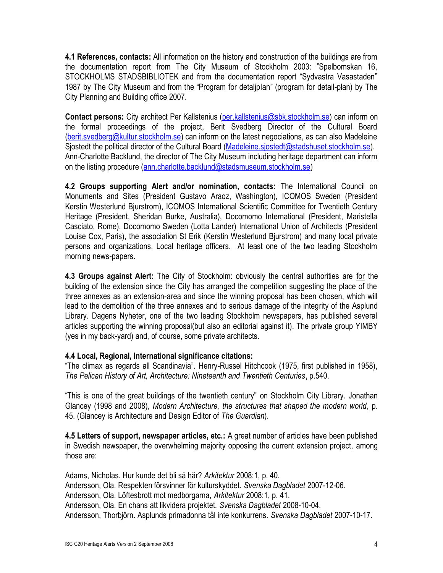**4.1 References, contacts:** All information on the history and construction of the buildings are from the documentation report from The City Museum of Stockholm 2003: "Spelbomskan 16, STOCKHOLMS STADSBIBLIOTEK and from the documentation report "Sydvastra Vasastaden" 1987 by The City Museum and from the "Program for detaljplan" (program for detail-plan) by The City Planning and Building office 2007.

**Contact persons:** City architect Per Kallstenius [\(per.kallstenius@sbk.stockholm.se\)](mailto:per.kallstenius@sbk.stockholm.se) can inform on the formal proceedings of the project, Berit Svedberg Director of the Cultural Board [\(berit.svedberg@kultur.stockholm.se\)](mailto:berit.svedberg@kultur.stockholm.se) can inform on the latest negociations, as can also Madeleine Sjostedt the political director of the Cultural Board [\(Madeleine.sjostedt@stadshuset.stockholm.se\)](mailto:Madeleine.sjostedt@stadshuset.stockholm.se). Ann-Charlotte Backlund, the director of The City Museum including heritage department can inform on the listing procedure [\(ann.charlotte.backlund@stadsmuseum.stockholm.se\)](mailto:ann.charlotte.backlund@stadsmuseum.stockholm.se)

**4.2 Groups supporting Alert and/or nomination, contacts:** The International Council on Monuments and Sites (President Gustavo Araoz, Washington), ICOMOS Sweden (President Kerstin Westerlund Bjurstrom), ICOMOS International Scientific Committee for Twentieth Century Heritage (President, Sheridan Burke, Australia), Docomomo International (President, Maristella Casciato, Rome), Docomomo Sweden (Lotta Lander) International Union of Architects (President Louise Cox, Paris), the association St Erik (Kerstin Westerlund Bjurstrom) and many local private persons and organizations. Local heritage officers. At least one of the two leading Stockholm morning news-papers.

**4.3 Groups against Alert:** The City of Stockholm: obviously the central authorities are for the building of the extension since the City has arranged the competition suggesting the place of the three annexes as an extension-area and since the winning proposal has been chosen, which will lead to the demolition of the three annexes and to serious damage of the integrity of the Asplund Library. Dagens Nyheter, one of the two leading Stockholm newspapers, has published several articles supporting the winning proposal(but also an editorial against it). The private group YIMBY (yes in my back-yard) and, of course, some private architects.

#### **4.4 Local, Regional, International significance citations:**

"The climax as regards all Scandinavia". Henry-Russel Hitchcook (1975, first published in 1958), *The Pelican History of Art, Architecture: Nineteenth and Twentieth Centuries*, p.540.

"This is one of the great buildings of the twentieth century" on Stockholm City Library. Jonathan Glancey (1998 and 2008), *Modern Architecture, the structures that shaped the modern world*, p. 45. (Glancey is Architecture and Design Editor of *The Guardian*).

**4.5 Letters of support, newspaper articles, etc.:** A great number of articles have been published in Swedish newspaper, the overwhelming majority opposing the current extension project, among those are:

Adams, Nicholas. Hur kunde det bli så här? *Arkitektur* 2008:1, p. 40. Andersson, Ola. Respekten försvinner för kulturskyddet. *Svenska Dagbladet* 2007-12-06. Andersson, Ola. Löftesbrott mot medborgarna, *Arkitektur* 2008:1, p. 41. Andersson, Ola. En chans att likvidera projektet. *Svenska Dagbladet* 2008-10-04. Andersson, Thorbjörn. Asplunds primadonna tål inte konkurrens. *Svenska Dagbladet* 2007-10-17.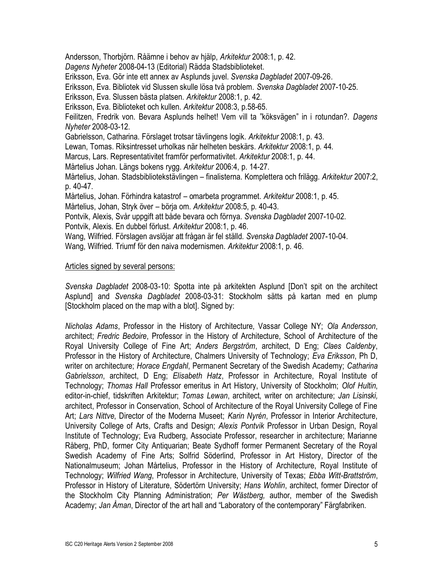Andersson, Thorbjörn. Råämne i behov av hjälp, *Arkitektur* 2008:1, p. 42. *Dagens Nyheter* 2008-04-13 (Editorial) Rädda Stadsbiblioteket. Eriksson, Eva. Gör inte ett annex av Asplunds juvel. *Svenska Dagbladet* 2007-09-26. Eriksson, Eva. Bibliotek vid Slussen skulle lösa två problem. *Svenska Dagbladet* 2007-10-25. Eriksson, Eva. Slussen bästa platsen. *Arkitektur* 2008:1, p. 42. Eriksson, Eva. Biblioteket och kullen. *Arkitektur* 2008:3, p.58-65. Feilitzen, Fredrik von. Bevara Asplunds helhet! Vem vill ta "köksvägen" in i rotundan?. *Dagens Nyheter* 2008-03-12. Gabrielsson, Catharina. Förslaget trotsar tävlingens logik. *Arkitektur* 2008:1, p. 43. Lewan, Tomas. Riksintresset urholkas när helheten beskärs. *Arkitektur* 2008:1, p. 44. Marcus, Lars. Representativitet framför performativitet. *Arkitektur* 2008:1, p. 44. Mårtelius Johan. Längs bokens rygg. *Arkitektur* 2006:4, p. 14-27. Mårtelius, Johan. Stadsbibliotekstävlingen – finalisterna. Komplettera och frilägg. *Arkitektur* 2007:2, p. 40-47. Mårtelius, Johan. Förhindra katastrof – omarbeta programmet. *Arkitektur* 2008:1, p. 45. Mårtelius, Johan, Stryk över – börja om. *Arkitektur* 2008:5, p. 40-43. Pontvik, Alexis, Svår uppgift att både bevara och förnya. *Svenska Dagbladet* 2007-10-02. Pontvik, Alexis. En dubbel förlust. *Arkitektur* 2008:1, p. 46. Wang, Wilfried. Förslagen avslöjar att frågan är fel ställd. *Svenska Dagbladet* 2007-10-04. Wang, Wilfried. Triumf för den naiva modernismen. *Arkitektur* 2008:1, p. 46.

#### Articles signed by several persons:

*Svenska Dagbladet* 2008-03-10: Spotta inte på arkitekten Asplund [Don't spit on the architect Asplund] and *Svenska Dagbladet* 2008-03-31: Stockholm sätts på kartan med en plump [Stockholm placed on the map with a blot]. Signed by:

*Nicholas Adams*, Professor in the History of Architecture, Vassar College NY; *Ola Andersson*, architect; *Fredric Bedoire*, Professor in the History of Architecture, School of Architecture of the Royal University College of Fine Art; *Anders Bergström*, architect, D Eng; *Claes Caldenby*, Professor in the History of Architecture, Chalmers University of Technology; *Eva Eriksson*, Ph D, writer on architecture; *Horace Engdahl*, Permanent Secretary of the Swedish Academy; *Catharina Gabrielsson*, architect, D Eng; *Elisabeth Hatz*, Professor in Architecture, Royal Institute of Technology; *Thomas Hall* Professor emeritus in Art History, University of Stockholm; *Olof Hultin*, editor-in-chief, tidskriften Arkitektur; *Tomas Lewan*, architect, writer on architecture; *Jan Lisinski,* architect, Professor in Conservation, School of Architecture of the Royal University College of Fine Art; *Lars Nittve*, Director of the Moderna Museet; *Karin Nyrén*, Professor in Interior Architecture, University College of Arts, Crafts and Design; *Alexis Pontvik* Professor in Urban Design, Royal Institute of Technology; Eva Rudberg, Associate Professor, researcher in architecture; Marianne Råberg, PhD, former City Antiquarian; Beate Sydhoff former Permanent Secretary of the Royal Swedish Academy of Fine Arts; Solfrid Söderlind, Professor in Art History, Director of the Nationalmuseum; Johan Mårtelius, Professor in the History of Architecture, Royal Institute of Technology; *Wilfried Wang*, Professor in Architecture, University of Texas; *Ebba Witt-Brattström*, Professor in History of Literature, Södertörn University; *Hans Wohlin*, architect, former Director of the Stockholm City Planning Administration; *Per Wästberg,* author, member of the Swedish Academy; *Jan Åman*, Director of the art hall and "Laboratory of the contemporary" Färgfabriken.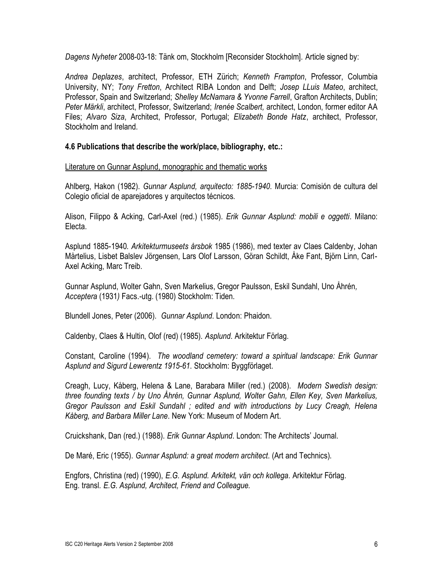*Dagens Nyheter* 2008-03-18: Tänk om, Stockholm [Reconsider Stockholm]. Article signed by:

*Andrea Deplazes*, architect, Professor, ETH Zürich; *Kenneth Frampton*, Professor, Columbia University, NY; *Tony Fretton*, Architect RIBA London and Delft; *Josep LLuis Mateo*, architect, Professor, Spain and Switzerland; *Shelley McNamara & Yvonne Farrell*, Grafton Architects, Dublin; *Peter Märkli*, architect, Professor, Switzerland; *Irenée Scalbert,* architect, London, former editor AA Files; *Alvaro Siza*, Architect, Professor, Portugal; *Elizabeth Bonde Hatz*, architect, Professor, Stockholm and Ireland.

#### **4.6 Publications that describe the work/place, bibliography, etc.:**

Literature on Gunnar Asplund, monographic and thematic works

Ahlberg, Hakon (1982). *Gunnar Asplund, arquitecto: 1885-1940*. Murcia: Comisión de cultura del Colegio oficial de aparejadores y arquitectos técnicos.

Alison, Filippo & Acking, Carl-Axel (red.) (1985). *Erik Gunnar Asplund: mobili e oggetti*. Milano: Electa.

Asplund 1885-1940*. Arkitekturmuseets årsbok* 1985 (1986), med texter av Claes Caldenby, Johan Mårtelius, Lisbet Balslev Jörgensen, Lars Olof Larsson, Göran Schildt, Åke Fant, Björn Linn, Carl-Axel Acking, Marc Treib.

Gunnar Asplund, Wolter Gahn, Sven Markelius, Gregor Paulsson, Eskil Sundahl, Uno Åhrén*, Acceptera* (1931*)* Facs.-utg. (1980) Stockholm: Tiden.

Blundell Jones, Peter (2006). *Gunnar Asplund*. London: Phaidon.

Caldenby, Claes & Hultin, Olof (red) (1985). *Asplund*. Arkitektur Förlag.

Constant, Caroline (1994). *The woodland cemetery: toward a spiritual landscape: Erik Gunnar Asplund and Sigurd Lewerentz 1915-61*. Stockholm: Byggförlaget.

Creagh, Lucy, Kåberg, Helena & Lane, Barabara Miller (red.) (2008). *Modern Swedish design: three founding texts / by Uno Åhrén, Gunnar Asplund, Wolter Gahn, Ellen Key, Sven Markelius, Gregor Paulsson and Eskil Sundahl ; edited and with introductions by Lucy Creagh, Helena Kåberg, and Barbara Miller Lane*. New York: Museum of Modern Art.

Cruickshank, Dan (red.) (1988). *Erik Gunnar Asplund*. London: The Architects' Journal.

De Maré, Eric (1955). *Gunnar Asplund: a great modern architect*. (Art and Technics).

Engfors, Christina (red) (1990), *E.G. Asplund. Arkitekt, vän och kollega*. Arkitektur Förlag. Eng. transl*. E.G. Asplund, Architect, Friend and Colleague.*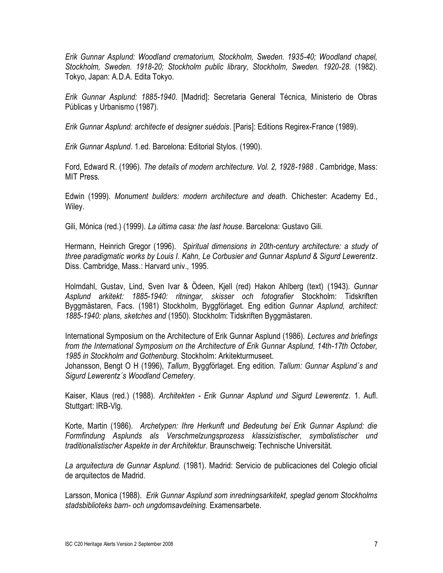*Erik Gunnar Asplund: Woodland crematorium, Stockholm, Sweden. 1935-40; Woodland chapel, Stockholm, Sweden. 1918-20; Stockholm public library, Stockholm, Sweden. 1920-28*. (1982). Tokyo, Japan: A.D.A. Edita Tokyo.

*Erik Gunnar Asplund: 1885-1940*. [Madrid]: Secretaria General Técnica, Ministerio de Obras Públicas y Urbanismo (1987).

*Erik Gunnar Asplund: architecte et designer suédois*. [Paris]: Editions Regirex-France (1989).

*Erik Gunnar Asplund*. 1.ed. Barcelona: Editorial Stylos. (1990).

Ford, Edward R. (1996). *The details of modern architecture. Vol. 2, 1928-1988* . Cambridge, Mass: MIT Press.

Edwin (1999). *Monument builders: modern architecture and death*. Chichester: Academy Ed., Wiley.

Gili, Mónica (red.) (1999). *La última casa: the last house*. Barcelona: Gustavo Gili.

Hermann, Heinrich Gregor (1996). *Spiritual dimensions in 20th-century architecture: a study of three paradigmatic works by Louis I. Kahn, Le Corbusier and Gunnar Asplund & Sigurd Lewerentz*. Diss. Cambridge, Mass.: Harvard univ., 1995.

Holmdahl, Gustav, Lind, Sven Ivar & Ödeen, Kjell (red) Hakon Ahlberg (text) (1943). *Gunnar Asplund arkitekt: 1885-1940: ritningar, skisser och fotografier* Stockholm: Tidskriften Byggmästaren, Facs. (1981) Stockholm, Byggförlaget. Eng edition *Gunnar Asplund, architect: 1885-1940: plans, sketches and* (1950). Stockholm: Tidskriften Byggmästaren.

International Symposium on the Architecture of Erik Gunnar Asplund (1986). *Lectures and briefings from the International Symposium on the Architecture of Erik Gunnar Asplund, 14th-17th October, 1985 in Stockholm and Gothenburg*. Stockholm: Arkitekturmuseet.

Johansson, Bengt O H (1996), *Tallum*, Byggförlaget. Eng edition. *Tallum: Gunnar Asplund´s and Sigurd Lewerentz´s Woodland Cemetery*.

Kaiser, Klaus (red.) (1988). *Architekten - Erik Gunnar Asplund und Sigurd Lewerentz*. 1. Aufl. Stuttgart: IRB-Vlg.

Korte, Martin (1986). *Archetypen: Ihre Herkunft und Bedeutung bei Erik Gunnar Asplund: die Formfindung Asplunds als Verschmelzungsprozess klassizistischer, symbolistischer und traditionalistischer Aspekte in der Architektur*. Braunschweig: Technische Universität.

*La arquitectura de Gunnar Asplund.* (1981). Madrid: Servicio de publicaciones del Colegio oficial de arquitectos de Madrid.

Larsson, Monica (1988). *Erik Gunnar Asplund som inredningsarkitekt, speglad genom Stockholms stadsbiblioteks barn- och ungdomsavdelning.* Examensarbete.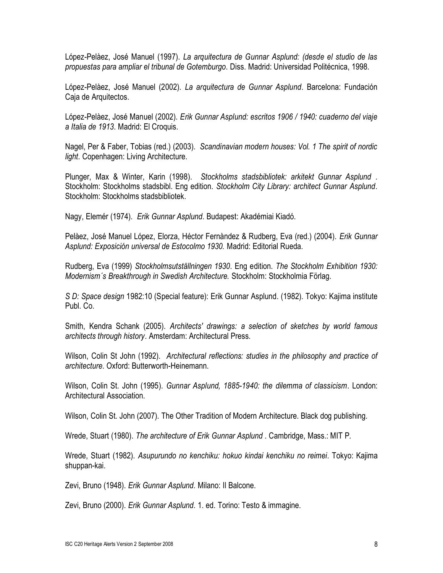López-Pelàez, José Manuel (1997). *La arquitectura de Gunnar Asplund: (desde el studio de las propuestas para ampliar el tribunal de Gotemburgo*. Diss. Madrid: Universidad Politécnica, 1998.

López-Pelàez, José Manuel (2002). *La arquitectura de Gunnar Asplund*. Barcelona: Fundación Caja de Arquitectos.

López-Pelàez, José Manuel (2002). *Erik Gunnar Asplund: escritos 1906 / 1940: cuaderno del viaje a Italia de 1913*. Madrid: El Croquis.

Nagel, Per & Faber, Tobias (red.) (2003). *Scandinavian modern houses: Vol. 1 The spirit of nordic light*. Copenhagen: Living Architecture.

Plunger, Max & Winter, Karin (1998). *Stockholms stadsbibliotek: arkitekt Gunnar Asplund* . Stockholm: Stockholms stadsbibl. Eng edition. *Stockholm City Library: architect Gunnar Asplund*. Stockholm: Stockholms stadsbibliotek.

Nagy, Elemér (1974). *Erik Gunnar Asplund*. Budapest: Akadémiai Kiadó.

Pelàez, José Manuel López, Elorza, Héctor Fernàndez & Rudberg, Eva (red.) (2004). *Erik Gunnar Asplund: Exposición universal de Estocolmo 1930.* Madrid: Editorial Rueda.

Rudberg, Eva (1999) *Stockholmsutställningen 1930*. Eng edition. *The Stockholm Exhibition 1930: Modernism´s Breakthrough in Swedish Architecture.* Stockholm: Stockholmia Förlag.

*S D: Space design* 1982:10 (Special feature): Erik Gunnar Asplund. (1982). Tokyo: Kajima institute Publ. Co.

Smith, Kendra Schank (2005). *Architects' drawings: a selection of sketches by world famous architects through history*. Amsterdam: Architectural Press.

Wilson, Colin St John (1992). *Architectural reflections: studies in the philosophy and practice of architecture*. Oxford: Butterworth-Heinemann.

Wilson, Colin St. John (1995). *Gunnar Asplund, 1885-1940: the dilemma of classicism*. London: Architectural Association.

Wilson, Colin St. John (2007). The Other Tradition of Modern Architecture. Black dog publishing.

Wrede, Stuart (1980). *The architecture of Erik Gunnar Asplund* . Cambridge, Mass.: MIT P.

Wrede, Stuart (1982). *Asupurundo no kenchiku: hokuo kindai kenchiku no reimei*. Tokyo: Kajima shuppan-kai.

Zevi, Bruno (1948). *Erik Gunnar Asplund*. Milano: Il Balcone.

Zevi, Bruno (2000). *Erik Gunnar Asplund*. 1. ed. Torino: Testo & immagine.